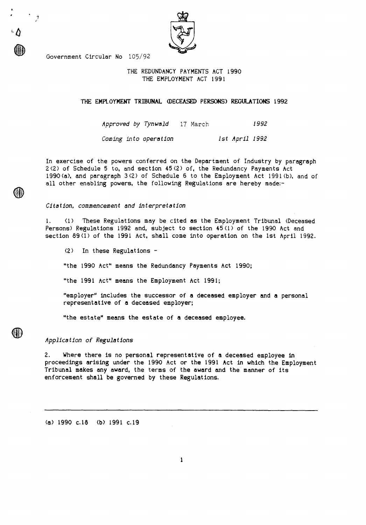Government Circular No 105/92

 $\langle \bm{\psi} \rangle$ 

## THE REDUNDANCY PAYMENTS ACT 1990 THE EMPLOYMENT ACT 1991

**THE EMPLOYMENT TRIBUNAL (DECEASED PERSONS) REGULATIONS 1992** 

*Approved by Tynwald* 17 March 1992 *Coming into operation 1st April 1992* 

In exercise of the powers conferred on the Department of Industry by paragraph 2(2) of Schedule 5 to, and section 45(2) of, the Redundancy Payments Act 1990(a), and paragraph 3(2) of Schedule 6 to the Employment Act 1991(b), and of all other enabling powers, the following Regulations are hereby made:-

*Citation, commencement and interpretation* 

1. (1) **These Regulations may be cited as the Employment** Tribunal (Deceased Persons) Regulations 1992 and, subject to section 45(1) of the 1990 Act and section 89(1) of the 1991 Act, shall come into operation on the 1st April 1992.

(2) In these Regulations -

"the 1990 Act" means the Redundancy Payments Act 1990;

"the 1991 Act" **means the Employment Act 1991;** 

**"employer" includes the successor of a deceased employer and a personal representative of a deceased employer;** 

**"the estate" means the estate of a deceased employee.** 

*Application of Regulations* 

2. Where there is no personal representative of **a deceased** employee in proceedings arising under the 1990 Act or the 1991 Act in which the Employment Tribunal makes any **award, the terms of the award and the manner of its enforcement shall be governed by these Regulations.** 

**(a) 1990 c.18 (b) 1991 c.19**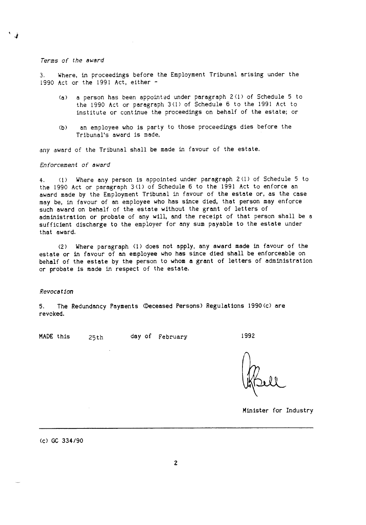#### Terms of the award

Where, in proceedings before the Employment Tribunal arising under the 1990 Act or the 1991 Act, either -

- (a) a person has been appointed under paragraph 2(1) of Schedule 5 to the 1990 Act or paragraph 3(1) of Schedule 6 to the 1991 Act to institute or continue the proceedings on behalf of the estate; or
- (b) an employee who is party to those proceedings dies before the Tribunal's award is made,

any award of the Tribunal shall be made in favour of the estate.

### Enforcement of award

4. (1) Where any person is appointed under paragraph 2(1) of Schedule 5 to the 1990 Act or paragraph 3(1) of Schedule 6 to the 1991 Act to enforce an award made by the Employment Tribunal in favour of the estate or, as the case may be, in favour of an employee who has since died, that person may enforce such award on behalf of the estate without the grant of letters of administration or probate of any will, and the receipt of that person shall be a sufficient discharge to the employer for any sum payable to the estate under that award.

(2) Where paragraph (1) does not apply, any award made in favour of the estate or in favour of an employee who has since died shall be enforceable on behalf of the estate by the person to whom a grant of letters of administration or probate is made in respect of the estate.

#### Revocation

5. The Redundancy Payments (Deceased Persons) Regulations 1990(c) are revoked.

MADE this 25th day of February 1992

Minister for Industry

(c) GC 334/90